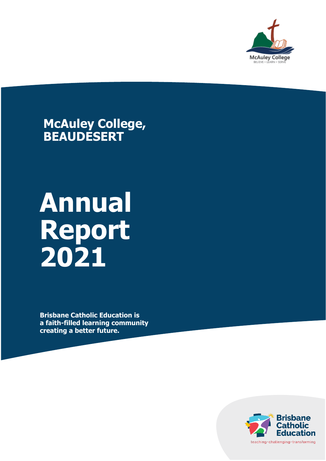

**McAuley College, BEAUDESERT**

# **Annual Report 2021**

**Brisbane Catholic Education is a faith-filled learning community creating a better future.**

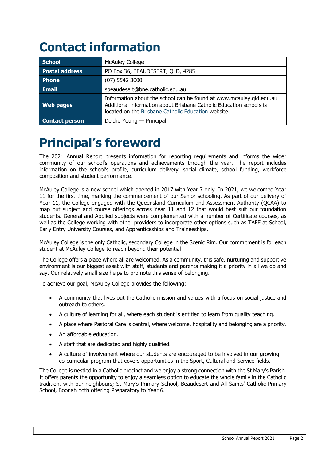# **Contact information**

| <b>School</b>         | <b>McAuley College</b>                                                                                                                                                                            |
|-----------------------|---------------------------------------------------------------------------------------------------------------------------------------------------------------------------------------------------|
| <b>Postal address</b> | PO Box 36, BEAUDESERT, QLD, 4285                                                                                                                                                                  |
| Phone                 | $(07)$ 5542 3000                                                                                                                                                                                  |
| <b>Email</b>          | sbeaudesert@bne.catholic.edu.au                                                                                                                                                                   |
| <b>Web pages</b>      | Information about the school can be found at www.mcauley.qld.edu.au<br>Additional information about Brisbane Catholic Education schools is<br>located on the Brisbane Catholic Education website. |
| <b>Contact person</b> | Deidre Young - Principal                                                                                                                                                                          |

# **Principal's foreword**

The 2021 Annual Report presents information for reporting requirements and informs the wider community of our school's operations and achievements through the year. The report includes information on the school's profile, curriculum delivery, social climate, school funding, workforce composition and student performance.

McAuley College is a new school which opened in 2017 with Year 7 only. In 2021, we welcomed Year 11 for the first time, marking the commencement of our Senior schooling. As part of our delivery of Year 11, the College engaged with the Queensland Curriculum and Assessment Authority (QCAA) to map out subject and course offerings across Year 11 and 12 that would best suit our foundation students. General and Applied subjects were complemented with a number of Certificate courses, as well as the College working with other providers to incorporate other options such as TAFE at School, Early Entry University Courses, and Apprenticeships and Traineeships.

McAuley College is the only Catholic, secondary College in the Scenic Rim. Our commitment is for each student at McAuley College to reach beyond their potential!

The College offers a place where all are welcomed. As a community, this safe, nurturing and supportive environment is our biggest asset with staff, students and parents making it a priority in all we do and say. Our relatively small size helps to promote this sense of belonging.

To achieve our goal, McAuley College provides the following:

- A community that lives out the Catholic mission and values with a focus on social justice and outreach to others.
- A culture of learning for all, where each student is entitled to learn from quality teaching.
- A place where Pastoral Care is central, where welcome, hospitality and belonging are a priority.
- An affordable education.
- A staff that are dedicated and highly qualified.
- A culture of involvement where our students are encouraged to be involved in our growing co-curricular program that covers opportunities in the Sport, Cultural and Service fields.

The College is nestled in a Catholic precinct and we enjoy a strong connection with the St Mary's Parish. It offers parents the opportunity to enjoy a seamless option to educate the whole family in the Catholic tradition, with our neighbours; St Mary's Primary School, Beaudesert and All Saints' Catholic Primary School, Boonah both offering Preparatory to Year 6.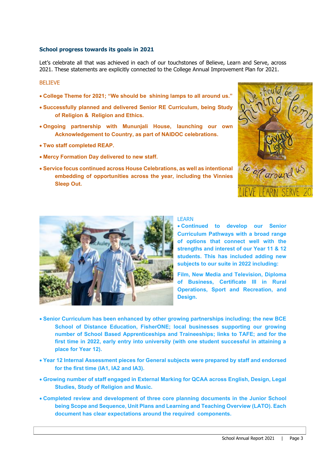#### **School progress towards its goals in 2021**

Let's celebrate all that was achieved in each of our touchstones of Believe, Learn and Serve, across 2021. These statements are explicitly connected to the College Annual Improvement Plan for 2021.

#### BELIEVE

- **College Theme for 2021; "We should be shining lamps to all around us."**
- **Successfully planned and delivered Senior RE Curriculum, being Study of Religion & Religion and Ethics.**
- **Ongoing partnership with Mununjali House, launching our own Acknowledgement to Country, as part of NAIDOC celebrations.**
- **Two staff completed REAP.**
- **Mercy Formation Day delivered to new staff.**
- **Service focus continued across House Celebrations, as well as intentional embedding of opportunities across the year, including the Vinnies Sleep Out.**





#### LEARN

• **Continued to develop our Senior Curriculum Pathways with a broad range of options that connect well with the strengths and interest of our Year 11 & 12 students. This has included adding new subjects to our suite in 2022 including:**

**Film, New Media and Television, Diploma of Business, Certificate III in Rural Operations, Sport and Recreation, and Design.**

- **Senior Curriculum has been enhanced by other growing partnerships including; the new BCE School of Distance Education, FisherONE; local businesses supporting our growing number of School Based Apprenticeships and Traineeships; links to TAFE; and for the first time in 2022, early entry into university (with one student successful in attaining a place for Year 12).**
- **Year 12 Internal Assessment pieces for General subjects were prepared by staff and endorsed for the first time (IA1, IA2 and IA3).**
- **Growing number of staff engaged in External Marking for QCAA across English, Design, Legal Studies, Study of Religion and Music.**
- **Completed review and development of three core planning documents in the Junior School being Scope and Sequence, Unit Plans and Learning and Teaching Overview (LATO). Each document has clear expectations around the required components.**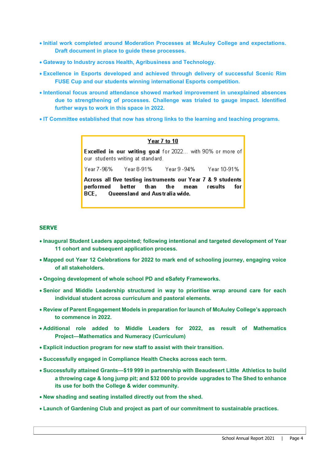- **Initial work completed around Moderation Processes at McAuley College and expectations. Draft document in place to guide these processes.**
- **Gateway to Industry across Health, Agribusiness and Technology.**
- **Excellence in Esports developed and achieved through delivery of successful Scenic Rim FUSE Cup and our students winning international Esports competition.**
- **Intentional focus around attendance showed marked improvement in unexplained absences due to strengthening of processes. Challenge was trialed to gauge impact. Identified further ways to work in this space in 2022.**
- **IT Committee established that now has strong links to the learning and teaching programs.**

#### Year 7 to 10

Excelled in our writing goal for 2022... with 90% or more of our students writing at standard.

Year 7-96% Year 8-91% Year 9 - 94% Year 10-91%

Across all five testing instruments our Year 7 & 9 students performed **better** th an th e mean results for BCE. Queensland and Australia wide.

#### **SERVE**

- **Inaugural Student Leaders appointed; following intentional and targeted development of Year 11 cohort and subsequent application process.**
- **Mapped out Year 12 Celebrations for 2022 to mark end of schooling journey, engaging voice of all stakeholders.**
- **Ongoing development of whole school PD and eSafety Frameworks.**
- **Senior and Middle Leadership structured in way to prioritise wrap around care for each individual student across curriculum and pastoral elements.**
- **Review of Parent Engagement Models in preparation for launch of McAuley College's approach to commence in 2022.**
- **Additional role added to Middle Leaders for 2022, as result of Mathematics Project—Mathematics and Numeracy (Curriculum)**
- **Explicit induction program for new staff to assist with their transition.**
- **Successfully engaged in Compliance Health Checks across each term.**
- **Successfully attained Grants—\$19 999 in partnership with Beaudesert Little Athletics to build a throwing cage & long jump pit; and \$32 000 to provide upgrades to The Shed to enhance its use for both the College & wider community.**
- **New shading and seating installed directly out from the shed.**
- **Launch of Gardening Club and project as part of our commitment to sustainable practices.**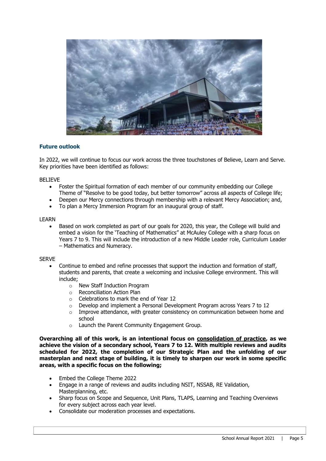

#### **Future outlook**

In 2022, we will continue to focus our work across the three touchstones of Believe, Learn and Serve. Key priorities have been identified as follows:

#### BELIEVE

- Foster the Spiritual formation of each member of our community embedding our College Theme of "Resolve to be good today, but better tomorrow" across all aspects of College life;
- Deepen our Mercy connections through membership with a relevant Mercy Association; and,
- To plan a Mercy Immersion Program for an inaugural group of staff.

#### LEARN

Based on work completed as part of our goals for 2020, this year, the College will build and embed a vision for the 'Teaching of Mathematics" at McAuley College with a sharp focus on Years 7 to 9. This will include the introduction of a new Middle Leader role, Curriculum Leader – Mathematics and Numeracy.

#### SERVE

- Continue to embed and refine processes that support the induction and formation of staff, students and parents, that create a welcoming and inclusive College environment. This will include;
	- o New Staff Induction Program
	- o Reconciliation Action Plan
	- o Celebrations to mark the end of Year 12
	- o Develop and implement a Personal Development Program across Years 7 to 12
	- o Improve attendance, with greater consistency on communication between home and school
	- o Launch the Parent Community Engagement Group.

**Overarching all of this work, is an intentional focus on consolidation of practice, as we achieve the vision of a secondary school, Years 7 to 12. With multiple reviews and audits scheduled for 2022, the completion of our Strategic Plan and the unfolding of our masterplan and next stage of building, it is timely to sharpen our work in some specific areas, with a specific focus on the following;**

- Embed the College Theme 2022
- Engage in a range of reviews and audits including NSIT, NSSAB, RE Validation, Masterplanning, etc.
- Sharp focus on Scope and Sequence, Unit Plans, TLAPS, Learning and Teaching Overviews for every subject across each year level.
- Consolidate our moderation processes and expectations.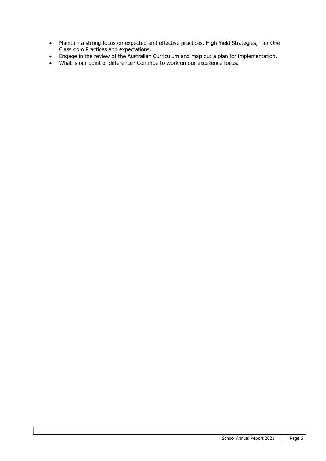- Maintain a strong focus on expected and effective practices, High Yield Strategies, Tier One Classroom Practices and expectations.
- Engage in the review of the Australian Curriculum and map out a plan for implementation.
- What is our point of difference? Continue to work on our excellence focus.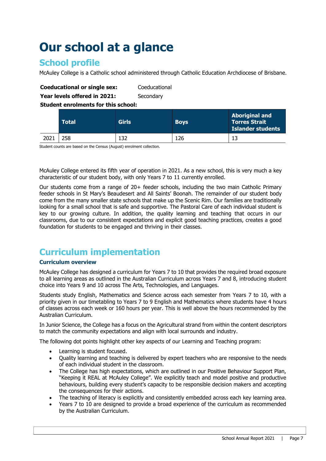# **Our school at a glance**

# **School profile**

McAuley College is a Catholic school administered through Catholic Education Archdiocese of Brisbane.

#### **Coeducational or single sex:** Coeducational

**Year levels offered in 2021:** Secondary

**Student enrolments for this school:**

|      | <b>Total</b> | Girls | <b>Boys</b> | <b>Aboriginal and</b><br><b>Torres Strait</b><br>Islander students |
|------|--------------|-------|-------------|--------------------------------------------------------------------|
| 2021 | 258          | 132   | 126         |                                                                    |

Student counts are based on the Census (August) enrolment collection.

McAuley College entered its fifth year of operation in 2021. As a new school, this is very much a key characteristic of our student body, with only Years 7 to 11 currently enrolled.

Our students come from a range of 20+ feeder schools, including the two main Catholic Primary feeder schools in St Mary's Beaudesert and All Saints' Boonah. The remainder of our student body come from the many smaller state schools that make up the Scenic Rim. Our families are traditionally looking for a small school that is safe and supportive. The Pastoral Care of each individual student is key to our growing culture. In addition, the quality learning and teaching that occurs in our classrooms, due to our consistent expectations and explicit good teaching practices, creates a good foundation for students to be engaged and thriving in their classes.

### **Curriculum implementation**

#### **Curriculum overview**

McAuley College has designed a curriculum for Years 7 to 10 that provides the required broad exposure to all learning areas as outlined in the Australian Curriculum across Years 7 and 8, introducing student choice into Years 9 and 10 across The Arts, Technologies, and Languages.

Students study English, Mathematics and Science across each semester from Years 7 to 10, with a priority given in our timetabling to Years 7 to 9 English and Mathematics where students have 4 hours of classes across each week or 160 hours per year. This is well above the hours recommended by the Australian Curriculum.

In Junior Science, the College has a focus on the Agricultural strand from within the content descriptors to match the community expectations and align with local surrounds and industry.

The following dot points highlight other key aspects of our Learning and Teaching program:

- Learning is student focused.
- Quality learning and teaching is delivered by expert teachers who are responsive to the needs of each individual student in the classroom.
- The College has high expectations, which are outlined in our Positive Behaviour Support Plan, "Keeping it REAL at McAuley College". We explicitly teach and model positive and productive behaviours, building every student's capacity to be responsible decision makers and accepting the consequences for their actions.
- The teaching of literacy is explicitly and consistently embedded across each key learning area.
- Years 7 to 10 are designed to provide a broad experience of the curriculum as recommended by the Australian Curriculum.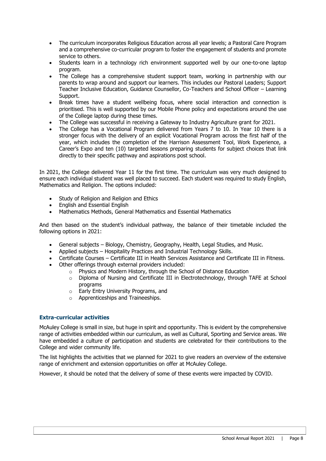- The curriculum incorporates Religious Education across all year levels; a Pastoral Care Program and a comprehensive co-curricular program to foster the engagement of students and promote service to others.
- Students learn in a technology rich environment supported well by our one-to-one laptop program.
- The College has a comprehensive student support team, working in partnership with our parents to wrap around and support our learners. This includes our Pastoral Leaders; Support Teacher Inclusive Education, Guidance Counsellor, Co-Teachers and School Officer – Learning Support.
- Break times have a student wellbeing focus, where social interaction and connection is prioritised. This is well supported by our Mobile Phone policy and expectations around the use of the College laptop during these times.
- The College was successful in receiving a Gateway to Industry Agriculture grant for 2021.
- The College has a Vocational Program delivered from Years 7 to 10. In Year 10 there is a stronger focus with the delivery of an explicit Vocational Program across the first half of the year, which includes the completion of the Harrison Assessment Tool, Work Experience, a Career's Expo and ten (10) targeted lessons preparing students for subject choices that link directly to their specific pathway and aspirations post school.

In 2021, the College delivered Year 11 for the first time. The curriculum was very much designed to ensure each individual student was well placed to succeed. Each student was required to study English, Mathematics and Religion. The options included:

- Study of Religion and Religion and Ethics
- English and Essential English
- Mathematics Methods, General Mathematics and Essential Mathematics

And then based on the student's individual pathway, the balance of their timetable included the following options in 2021:

- General subjects Biology, Chemistry, Geography, Health, Legal Studies, and Music.
- Applied subjects Hospitality Practices and Industrial Technology Skills.
- Certificate Courses Certificate III in Health Services Assistance and Certificate III in Fitness.
- Other offerings through external providers included:
	- o Physics and Modern History, through the School of Distance Education
	- o Diploma of Nursing and Certificate III in Electrotechnology, through TAFE at School programs
	- o Early Entry University Programs, and
	- o Apprenticeships and Traineeships.

#### **Extra-curricular activities**

McAuley College is small in size, but huge in spirit and opportunity. This is evident by the comprehensive range of activities embedded within our curriculum, as well as Cultural, Sporting and Service areas. We have embedded a culture of participation and students are celebrated for their contributions to the College and wider community life.

The list highlights the activities that we planned for 2021 to give readers an overview of the extensive range of enrichment and extension opportunities on offer at McAuley College.

However, it should be noted that the delivery of some of these events were impacted by COVID.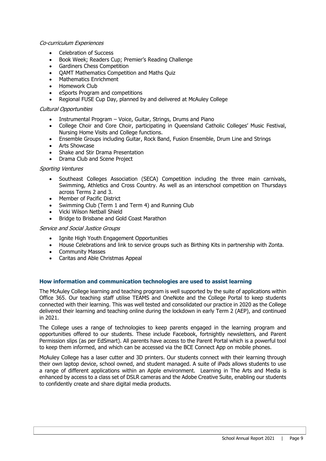#### Co-curriculum Experiences

- Celebration of Success
- Book Week; Readers Cup; Premier's Reading Challenge
- Gardiners Chess Competition
- QAMT Mathematics Competition and Maths Quiz
- Mathematics Enrichment
- Homework Club
- eSports Program and competitions
- Regional FUSE Cup Day, planned by and delivered at McAuley College

#### Cultural Opportunities

- Instrumental Program Voice, Guitar, Strings, Drums and Piano
- College Choir and Core Choir, participating in Queensland Catholic Colleges' Music Festival, Nursing Home Visits and College functions.
- Ensemble Groups including Guitar, Rock Band, Fusion Ensemble, Drum Line and Strings
- Arts Showcase
- Shake and Stir Drama Presentation
- Drama Club and Scene Project

#### Sporting Ventures

- Southeast Colleges Association (SECA) Competition including the three main carnivals, Swimming, Athletics and Cross Country. As well as an interschool competition on Thursdays across Terms 2 and 3.
- Member of Pacific District
- Swimming Club (Term 1 and Term 4) and Running Club
- Vicki Wilson Netball Shield
- Bridge to Brisbane and Gold Coast Marathon

#### Service and Social Justice Groups

- Ignite High Youth Engagement Opportunities
- House Celebrations and link to service groups such as Birthing Kits in partnership with Zonta.
- Community Masses
- Caritas and Able Christmas Appeal

#### **How information and communication technologies are used to assist learning**

The McAuley College learning and teaching program is well supported by the suite of applications within Office 365. Our teaching staff utilise TEAMS and OneNote and the College Portal to keep students connected with their learning. This was well tested and consolidated our practice in 2020 as the College delivered their learning and teaching online during the lockdown in early Term 2 (AEP), and continued in 2021.

The College uses a range of technologies to keep parents engaged in the learning program and opportunities offered to our students. These include Facebook, fortnightly newsletters, and Parent Permission slips (as per EdSmart). All parents have access to the Parent Portal which is a powerful tool to keep them informed, and which can be accessed via the BCE Connect App on mobile phones.

McAuley College has a laser cutter and 3D printers. Our students connect with their learning through their own laptop device, school owned, and student managed. A suite of iPads allows students to use a range of different applications within an Apple environment. Learning in The Arts and Media is enhanced by access to a class set of DSLR cameras and the Adobe Creative Suite, enabling our students to confidently create and share digital media products.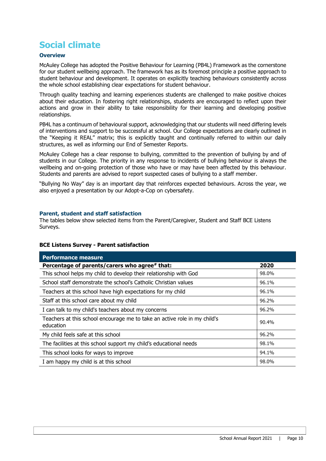# **Social climate**

#### **Overview**

McAuley College has adopted the Positive Behaviour for Learning (PB4L) Framework as the cornerstone for our student wellbeing approach. The framework has as its foremost principle a positive approach to student behaviour and development. It operates on explicitly teaching behaviours consistently across the whole school establishing clear expectations for student behaviour.

Through quality teaching and learning experiences students are challenged to make positive choices about their education. In fostering right relationships, students are encouraged to reflect upon their actions and grow in their ability to take responsibility for their learning and developing positive relationships.

PB4L has a continuum of behavioural support, acknowledging that our students will need differing levels of interventions and support to be successful at school. Our College expectations are clearly outlined in the "Keeping it REAL" matrix; this is explicitly taught and continually referred to within our daily structures, as well as informing our End of Semester Reports.

McAuley College has a clear response to bullying, committed to the prevention of bullying by and of students in our College. The priority in any response to incidents of bullying behaviour is always the wellbeing and on-going protection of those who have or may have been affected by this behaviour. Students and parents are advised to report suspected cases of bullying to a staff member.

"Bullying No Way" day is an important day that reinforces expected behaviours. Across the year, we also enjoyed a presentation by our Adopt-a-Cop on cybersafety.

#### **Parent, student and staff satisfaction**

The tables below show selected items from the Parent/Caregiver, Student and Staff BCE Listens Surveys.

#### **BCE Listens Survey - Parent satisfaction**

| <b>Performance measure</b>                                                             |       |
|----------------------------------------------------------------------------------------|-------|
| Percentage of parents/carers who agree# that:                                          | 2020  |
| This school helps my child to develop their relationship with God                      | 98.0% |
| School staff demonstrate the school's Catholic Christian values                        | 96.1% |
| Teachers at this school have high expectations for my child                            | 96.1% |
| Staff at this school care about my child                                               | 96.2% |
| I can talk to my child's teachers about my concerns                                    | 96.2% |
| Teachers at this school encourage me to take an active role in my child's<br>education | 90.4% |
| My child feels safe at this school                                                     | 96.2% |
| The facilities at this school support my child's educational needs                     | 98.1% |
| This school looks for ways to improve                                                  | 94.1% |
| I am happy my child is at this school                                                  | 98.0% |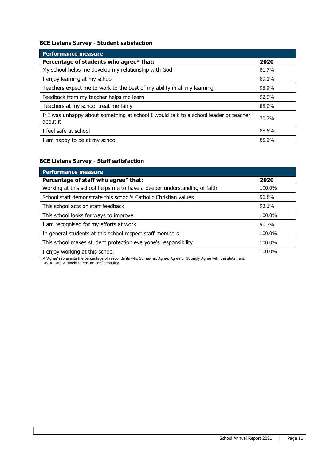#### **BCE Listens Survey - Student satisfaction**

| <b>Performance measure</b>                                                                        |       |
|---------------------------------------------------------------------------------------------------|-------|
| Percentage of students who agree# that:                                                           | 2020  |
| My school helps me develop my relationship with God                                               | 81.7% |
| I enjoy learning at my school                                                                     | 89.1% |
| Teachers expect me to work to the best of my ability in all my learning                           | 98.9% |
| Feedback from my teacher helps me learn                                                           | 92.9% |
| Teachers at my school treat me fairly                                                             | 88.0% |
| If I was unhappy about something at school I would talk to a school leader or teacher<br>about it | 70.7% |
| I feel safe at school                                                                             | 88.6% |
| I am happy to be at my school                                                                     | 85.2% |

### **BCE Listens Survey - Staff satisfaction**

| <b>Performance measure</b>                                              |        |
|-------------------------------------------------------------------------|--------|
| Percentage of staff who agree# that:                                    | 2020   |
| Working at this school helps me to have a deeper understanding of faith | 100.0% |
| School staff demonstrate this school's Catholic Christian values        | 96.8%  |
| This school acts on staff feedback                                      | 93.1%  |
| This school looks for ways to improve                                   | 100.0% |
| I am recognised for my efforts at work                                  | 90.3%  |
| In general students at this school respect staff members                | 100.0% |
| This school makes student protection everyone's responsibility          | 100.0% |
| I enjoy working at this school                                          | 100.0% |

# 'Agree' represents the percentage of respondents who Somewhat Agree, Agree or Strongly Agree with the statement.

DW = Data withheld to ensure confidentiality.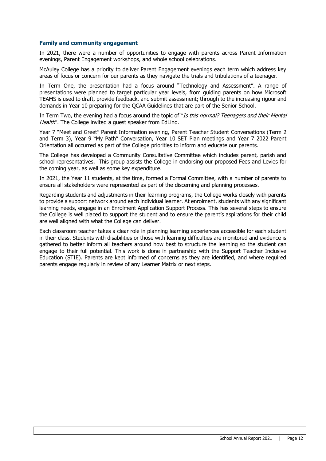#### **Family and community engagement**

In 2021, there were a number of opportunities to engage with parents across Parent Information evenings, Parent Engagement workshops, and whole school celebrations.

McAuley College has a priority to deliver Parent Engagement evenings each term which address key areas of focus or concern for our parents as they navigate the trials and tribulations of a teenager.

In Term One, the presentation had a focus around "Technology and Assessment". A range of presentations were planned to target particular year levels, from guiding parents on how Microsoft TEAMS is used to draft, provide feedback, and submit assessment; through to the increasing rigour and demands in Year 10 preparing for the QCAA Guidelines that are part of the Senior School.

In Term Two, the evening had a focus around the topic of "Is this normal? Teenagers and their Mental Health". The College invited a quest speaker from EdLing.

Year 7 "Meet and Greet" Parent Information evening, Parent Teacher Student Conversations (Term 2 and Term 3), Year 9 "My Path" Conversation, Year 10 SET Plan meetings and Year 7 2022 Parent Orientation all occurred as part of the College priorities to inform and educate our parents.

The College has developed a Community Consultative Committee which includes parent, parish and school representatives. This group assists the College in endorsing our proposed Fees and Levies for the coming year, as well as some key expenditure.

In 2021, the Year 11 students, at the time, formed a Formal Committee, with a number of parents to ensure all stakeholders were represented as part of the discerning and planning processes.

Regarding students and adjustments in their learning programs, the College works closely with parents to provide a support network around each individual learner. At enrolment, students with any significant learning needs, engage in an Enrolment Application Support Process. This has several steps to ensure the College is well placed to support the student and to ensure the parent's aspirations for their child are well aligned with what the College can deliver.

Each classroom teacher takes a clear role in planning learning experiences accessible for each student in their class. Students with disabilities or those with learning difficulties are monitored and evidence is gathered to better inform all teachers around how best to structure the learning so the student can engage to their full potential. This work is done in partnership with the Support Teacher Inclusive Education (STIE). Parents are kept informed of concerns as they are identified, and where required parents engage regularly in review of any Learner Matrix or next steps.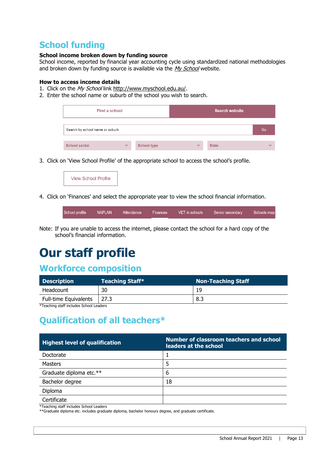# **School funding**

#### **School income broken down by funding source**

School income, reported by financial year accounting cycle using standardized national methodologies and broken down by funding source is available via the  $My$  School website.

#### **How to access income details**

- 1. Click on the My School link [http://www.myschool.edu.au/.](http://www.myschool.edu.au/)
- 2. Enter the school name or suburb of the school you wish to search.



3. Click on 'View School Profile' of the appropriate school to access the school's profile.



4. Click on 'Finances' and select the appropriate year to view the school financial information.

|  | School profile | NAPLAN | Attendance | Finances | VET in schools | Senior secondary | Schools map |
|--|----------------|--------|------------|----------|----------------|------------------|-------------|
|--|----------------|--------|------------|----------|----------------|------------------|-------------|

Note: If you are unable to access the internet, please contact the school for a hard copy of the school's financial information.

# **Our staff profile**

### **Workforce composition**

| <b>Description</b>           | <b>Teaching Staff*</b> | <b>Non-Teaching Staff</b> |  |  |
|------------------------------|------------------------|---------------------------|--|--|
| Headcount                    | 30                     | 19                        |  |  |
| <b>Full-time Equivalents</b> | 27.3                   | 8.3                       |  |  |

\*Teaching staff includes School Leaders

# **Qualification of all teachers\***

| <b>Highest level of qualification</b> | Number of classroom teachers and school<br>leaders at the school |
|---------------------------------------|------------------------------------------------------------------|
| Doctorate                             |                                                                  |
| <b>Masters</b>                        | 5                                                                |
| Graduate diploma etc.**               | 6                                                                |
| Bachelor degree                       | 18                                                               |
| Diploma                               |                                                                  |
| Certificate<br>.                      |                                                                  |

\*Teaching staff includes School Leaders

\*\*Graduate diploma etc. includes graduate diploma, bachelor honours degree, and graduate certificate.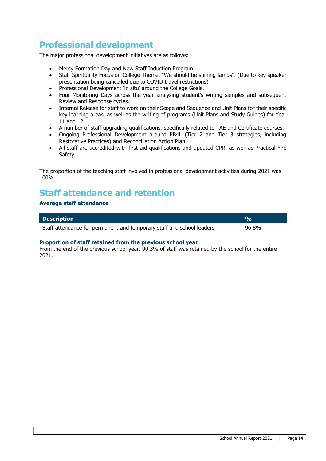# **Professional development**

The major professional development initiatives are as follows:

- Mercy Formation Day and New Staff Induction Program
- Staff Spirituality Focus on College Theme, "We should be shining lamps". (Due to key speaker presentation being cancelled due to COVID travel restrictions)
- Professional Development 'in situ' around the College Goals.
- Four Monitoring Days across the year analysing student's writing samples and subsequent Review and Response cycles.
- Internal Release for staff to work on their Scope and Sequence and Unit Plans for their specific key learning areas, as well as the writing of programs (Unit Plans and Study Guides) for Year 11 and 12.
- A number of staff upgrading qualifications, specifically related to TAE and Certificate courses.
- Ongoing Professional Development around PB4L (Tier 2 and Tier 3 strategies, including Restorative Practices) and Reconciliation Action Plan
- All staff are accredited with first aid qualifications and updated CPR, as well as Practical Fire Safety.

The proportion of the teaching staff involved in professional development activities during 2021 was 100%.

### **Staff attendance and retention**

#### **Average staff attendance**

| <b>Description</b>                                                    | $\sigma_{\alpha}$ |
|-----------------------------------------------------------------------|-------------------|
| Staff attendance for permanent and temporary staff and school leaders | 96.8%             |

#### **Proportion of staff retained from the previous school year**

From the end of the previous school year, 90.3% of staff was retained by the school for the entire 2021.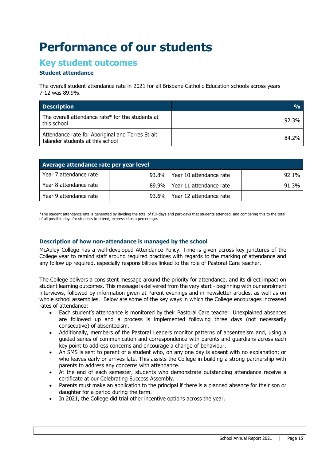# **Performance of our students**

### **Key student outcomes**

#### **Student attendance**

The overall student attendance rate in 2021 for all Brisbane Catholic Education schools across years 7-12 was 89.9%.

| <b>Description</b>                                                                   | $\frac{0}{0}$ |
|--------------------------------------------------------------------------------------|---------------|
| The overall attendance rate* for the students at<br>this school                      | 92.3%         |
| Attendance rate for Aboriginal and Torres Strait<br>Islander students at this school | 84.2%         |

| Average attendance rate per year level |  |                                 |       |  |  |  |  |
|----------------------------------------|--|---------------------------------|-------|--|--|--|--|
| Year 7 attendance rate                 |  | 93.8%   Year 10 attendance rate | 92.1% |  |  |  |  |
| Year 8 attendance rate                 |  | 89.9%   Year 11 attendance rate | 91.3% |  |  |  |  |
| Year 9 attendance rate                 |  | 93.6%   Year 12 attendance rate |       |  |  |  |  |

\*The student attendance rate is generated by dividing the total of full-days and part-days that students attended, and comparing this to the total of all possible days for students to attend, expressed as a percentage.

#### **Description of how non-attendance is managed by the school**

McAuley College has a well-developed Attendance Policy. Time is given across key junctures of the College year to remind staff around required practices with regards to the marking of attendance and any follow up required, especially responsibilities linked to the role of Pastoral Care teacher.

The College delivers a consistent message around the priority for attendance, and its direct impact on student learning outcomes. This message is delivered from the very start - beginning with our enrolment interviews, followed by information given at Parent evenings and in newsletter articles, as well as on whole school assemblies. Below are some of the key ways in which the College encourages increased rates of attendance:

- Each student's attendance is monitored by their Pastoral Care teacher. Unexplained absences are followed up and a process is implemented following three days (not necessarily consecutive) of absenteeism.
- Additionally, members of the Pastoral Leaders monitor patterns of absenteeism and, using a guided series of communication and correspondence with parents and guardians across each key point to address concerns and encourage a change of behaviour.
- An SMS is sent to parent of a student who, on any one day is absent with no explanation; or who leaves early or arrives late. This assists the College in building a strong partnership with parents to address any concerns with attendance.
- At the end of each semester, students who demonstrate outstanding attendance receive a certificate at our Celebrating Success Assembly.
- Parents must make an application to the principal if there is a planned absence for their son or daughter for a period during the term.
- In 2021, the College did trial other incentive options across the year.